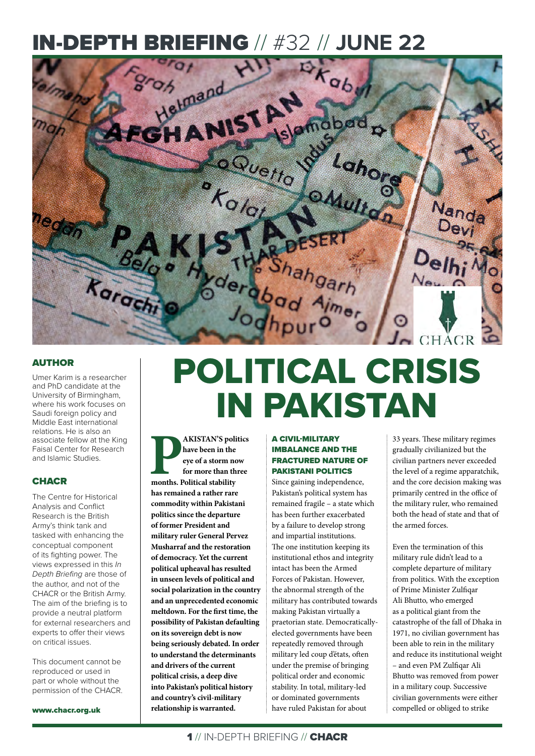# IN-DEPTH BRIEFING // #32 // **JUNE 22**



## AUTHOR

Umer Karim is a researcher and PhD candidate at the University of Birmingham, where his work focuses on Saudi foreign policy and Middle East international relations. He is also an associate fellow at the King Faisal Center for Research and Islamic Studies.

### **CHACR**

The Centre for Historical Analysis and Conflict Research is the British Army's think tank and tasked with enhancing the conceptual component of its fighting power. The views expressed in this *In Depth Briefing* are those of the author, and not of the CHACR or the British Army. The aim of the briefing is to provide a neutral platform for external researchers and experts to offer their views on critical issues.

This document cannot be reproduced or used in part or whole without the permission of the CHACR.

www.chacr.org.uk

# POLITICAL CRISIS IN PAKISTAN

**PAKISTAN'S politics**<br> **have been in the**<br> **eye of a storm now**<br> **for more than three**<br> **months. Political stability have been in the eye of a storm now for more than three has remained a rather rare commodity within Pakistani politics since the departure of former President and military ruler General Pervez Musharraf and the restoration of democracy. Yet the current political upheaval has resulted in unseen levels of political and social polarization in the country and an unprecedented economic meltdown. For the first time, the possibility of Pakistan defaulting on its sovereign debt is now being seriously debated. In order to understand the determinants and drivers of the current political crisis, a deep dive into Pakistan's political history and country's civil-military relationship is warranted.** 

### A CIVIL-MILITARY IMBALANCE AND THE FRACTURED NATURE OF PAKISTANI POLITICS

Since gaining independence, Pakistan's political system has remained fragile – a state which has been further exacerbated by a failure to develop strong and impartial institutions. The one institution keeping its institutional ethos and integrity intact has been the Armed Forces of Pakistan. However, the abnormal strength of the military has contributed towards making Pakistan virtually a praetorian state. Democraticallyelected governments have been repeatedly removed through military led coup d'états, often under the premise of bringing political order and economic stability. In total, military-led or dominated governments have ruled Pakistan for about

33 years. These military regimes gradually civilianized but the civilian partners never exceeded the level of a regime apparatchik, and the core decision making was primarily centred in the office of the military ruler, who remained both the head of state and that of the armed forces.

Even the termination of this military rule didn't lead to a complete departure of military from politics. With the exception of Prime Minister Zulfiqar Ali Bhutto, who emerged as a political giant from the catastrophe of the fall of Dhaka in 1971, no civilian government has been able to rein in the military and reduce its institutional weight – and even PM Zulfiqar Ali Bhutto was removed from power in a military coup. Successive civilian governments were either compelled or obliged to strike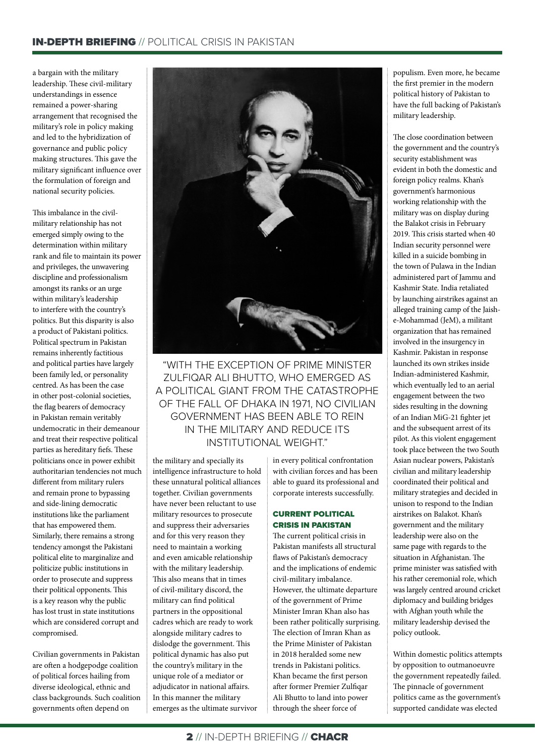a bargain with the military leadership. These civil-military understandings in essence remained a power-sharing arrangement that recognised the military's role in policy making and led to the hybridization of governance and public policy making structures. This gave the military significant influence over the formulation of foreign and national security policies.

This imbalance in the civilmilitary relationship has not emerged simply owing to the determination within military rank and file to maintain its power and privileges, the unwavering discipline and professionalism amongst its ranks or an urge within military's leadership to interfere with the country's politics. But this disparity is also a product of Pakistani politics. Political spectrum in Pakistan remains inherently factitious and political parties have largely been family led, or personality centred. As has been the case in other post-colonial societies, the flag bearers of democracy in Pakistan remain veritably undemocratic in their demeanour and treat their respective political parties as hereditary fiefs. These politicians once in power exhibit authoritarian tendencies not much different from military rulers and remain prone to bypassing and side-lining democratic institutions like the parliament that has empowered them. Similarly, there remains a strong tendency amongst the Pakistani political elite to marginalize and politicize public institutions in order to prosecute and suppress their political opponents. This is a key reason why the public has lost trust in state institutions which are considered corrupt and compromised.

Civilian governments in Pakistan are often a hodgepodge coalition of political forces hailing from diverse ideological, ethnic and class backgrounds. Such coalition governments often depend on



"WITH THE EXCEPTION OF PRIME MINISTER ZULFIQAR ALI BHUTTO, WHO EMERGED AS A POLITICAL GIANT FROM THE CATASTROPHE OF THE FALL OF DHAKA IN 1971, NO CIVILIAN GOVERNMENT HAS BEEN ABLE TO REIN IN THE MILITARY AND REDUCE ITS INSTITUTIONAL WEIGHT."

the military and specially its intelligence infrastructure to hold these unnatural political alliances together. Civilian governments have never been reluctant to use military resources to prosecute and suppress their adversaries and for this very reason they need to maintain a working and even amicable relationship with the military leadership. This also means that in times of civil-military discord, the military can find political partners in the oppositional cadres which are ready to work alongside military cadres to dislodge the government. This political dynamic has also put the country's military in the unique role of a mediator or adjudicator in national affairs. In this manner the military emerges as the ultimate survivor

in every political confrontation with civilian forces and has been able to guard its professional and corporate interests successfully.

#### CURRENT POLITICAL CRISIS IN PAKISTAN

The current political crisis in Pakistan manifests all structural flaws of Pakistan's democracy and the implications of endemic civil-military imbalance. However, the ultimate departure of the government of Prime Minister Imran Khan also has been rather politically surprising. The election of Imran Khan as the Prime Minister of Pakistan in 2018 heralded some new trends in Pakistani politics. Khan became the first person after former Premier Zulfiqar Ali Bhutto to land into power through the sheer force of

populism. Even more, he became the first premier in the modern political history of Pakistan to have the full backing of Pakistan's military leadership.

The close coordination between the government and the country's security establishment was evident in both the domestic and foreign policy realms. Khan's government's harmonious working relationship with the military was on display during the Balakot crisis in February 2019. This crisis started when 40 Indian security personnel were killed in a suicide bombing in the town of Pulawa in the Indian administered part of Jammu and Kashmir State. India retaliated by launching airstrikes against an alleged training camp of the Jaishe-Mohammad (JeM), a militant organization that has remained involved in the insurgency in Kashmir. Pakistan in response launched its own strikes inside Indian-administered Kashmir, which eventually led to an aerial engagement between the two sides resulting in the downing of an Indian MiG-21 fighter jet and the subsequent arrest of its pilot. As this violent engagement took place between the two South Asian nuclear powers, Pakistan's civilian and military leadership coordinated their political and military strategies and decided in unison to respond to the Indian airstrikes on Balakot. Khan's government and the military leadership were also on the same page with regards to the situation in Afghanistan. The prime minister was satisfied with his rather ceremonial role, which was largely centred around cricket diplomacy and building bridges with Afghan youth while the military leadership devised the policy outlook.

Within domestic politics attempts by opposition to outmanoeuvre the government repeatedly failed. The pinnacle of government politics came as the government's supported candidate was elected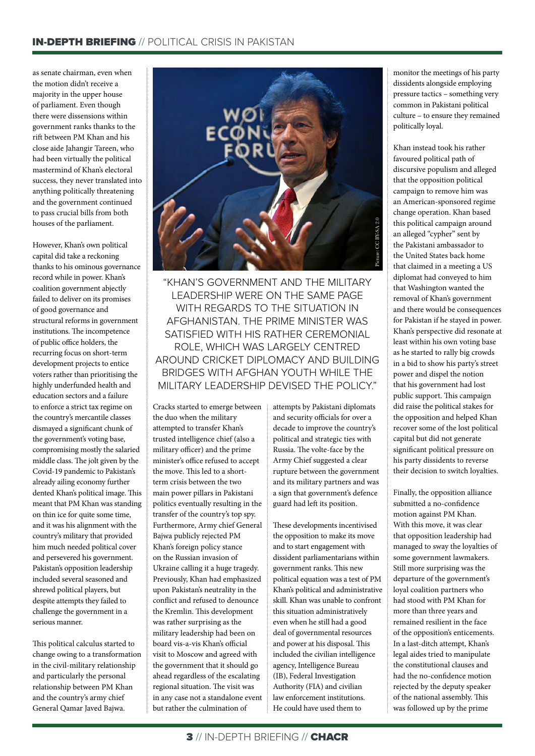as senate chairman, even when the motion didn't receive a majority in the upper house of parliament. Even though there were dissensions within government ranks thanks to the rift between PM Khan and his close aide Jahangir Tareen, who had been virtually the political mastermind of Khan's electoral success, they never translated into anything politically threatening and the government continued to pass crucial bills from both houses of the parliament.

However, Khan's own political capital did take a reckoning thanks to his ominous governance record while in power. Khan's coalition government abjectly failed to deliver on its promises of good governance and structural reforms in government institutions. The incompetence of public office holders, the recurring focus on short-term development projects to entice voters rather than prioritising the highly underfunded health and education sectors and a failure to enforce a strict tax regime on the country's mercantile classes dismayed a significant chunk of the government's voting base, compromising mostly the salaried middle class. The jolt given by the Covid-19 pandemic to Pakistan's already ailing economy further dented Khan's political image. This meant that PM Khan was standing on thin ice for quite some time, and it was his alignment with the country's military that provided him much needed political cover and persevered his government. Pakistan's opposition leadership included several seasoned and shrewd political players, but despite attempts they failed to challenge the government in a serious manner.

This political calculus started to change owing to a transformation in the civil-military relationship and particularly the personal relationship between PM Khan and the country's army chief General Qamar Javed Bajwa.



"KHAN'S GOVERNMENT AND THE MILITARY LEADERSHIP WERE ON THE SAME PAGE WITH REGARDS TO THE SITUATION IN AFGHANISTAN. THE PRIME MINISTER WAS SATISFIED WITH HIS RATHER CEREMONIAL ROLE, WHICH WAS LARGELY CENTRED AROUND CRICKET DIPLOMACY AND BUILDING BRIDGES WITH AFGHAN YOUTH WHILE THE "KHAN'S GOVERNMENT AND THE MILITARY<br>"KHAN'S GOVERNMENT AND THE MILITARY<br>LEADERSHIP WERE ON THE SAME PAGE<br>WITH REGARDS TO THE SITUATION IN<br>AFGHANISTAN. THE PRIME MINISTER WAS<br>SATISFIED WITH HIS RATHER CEREMONIAL<br>ROUND CRICK

Cracks started to emerge between the duo when the military attempted to transfer Khan's trusted intelligence chief (also a military officer) and the prime minister's office refused to accept the move. This led to a shortterm crisis between the two main power pillars in Pakistani politics eventually resulting in the transfer of the country's top spy. Furthermore, Army chief General Bajwa publicly rejected PM Khan's foreign policy stance on the Russian invasion of Ukraine calling it a huge tragedy. Previously, Khan had emphasized upon Pakistan's neutrality in the conflict and refused to denounce the Kremlin. This development was rather surprising as the military leadership had been on board vis-a-vis Khan's official visit to Moscow and agreed with the government that it should go ahead regardless of the escalating regional situation. The visit was in any case not a standalone event but rather the culmination of

attempts by Pakistani diplomats and security officials for over a decade to improve the country's political and strategic ties with Russia. The volte-face by the Army Chief suggested a clear rupture between the government and its military partners and was a sign that government's defence guard had left its position.

These developments incentivised the opposition to make its move and to start engagement with dissident parliamentarians within government ranks. This new political equation was a test of PM Khan's political and administrative skill. Khan was unable to confront this situation administratively even when he still had a good deal of governmental resources and power at his disposal. This included the civilian intelligence agency, Intelligence Bureau (IB), Federal Investigation Authority (FIA) and civilian law enforcement institutions. He could have used them to

monitor the meetings of his party dissidents alongside employing pressure tactics – something very common in Pakistani political culture – to ensure they remained politically loyal.

Khan instead took his rather favoured political path of discursive populism and alleged that the opposition political campaign to remove him was an American-sponsored regime change operation. Khan based this political campaign around an alleged "cypher" sent by the Pakistani ambassador to the United States back home that claimed in a meeting a US diplomat had conveyed to him that Washington wanted the removal of Khan's government and there would be consequences for Pakistan if he stayed in power. Khan's perspective did resonate at least within his own voting base as he started to rally big crowds in a bid to show his party's street power and dispel the notion that his government had lost public support. This campaign did raise the political stakes for the opposition and helped Khan recover some of the lost political capital but did not generate significant political pressure on his party dissidents to reverse their decision to switch loyalties.

Finally, the opposition alliance submitted a no-confidence motion against PM Khan. With this move, it was clear that opposition leadership had managed to sway the loyalties of some government lawmakers. Still more surprising was the departure of the government's loyal coalition partners who had stood with PM Khan for more than three years and remained resilient in the face of the opposition's enticements. In a last-ditch attempt, Khan's legal aides tried to manipulate the constitutional clauses and had the no-confidence motion rejected by the deputy speaker of the national assembly. This was followed up by the prime